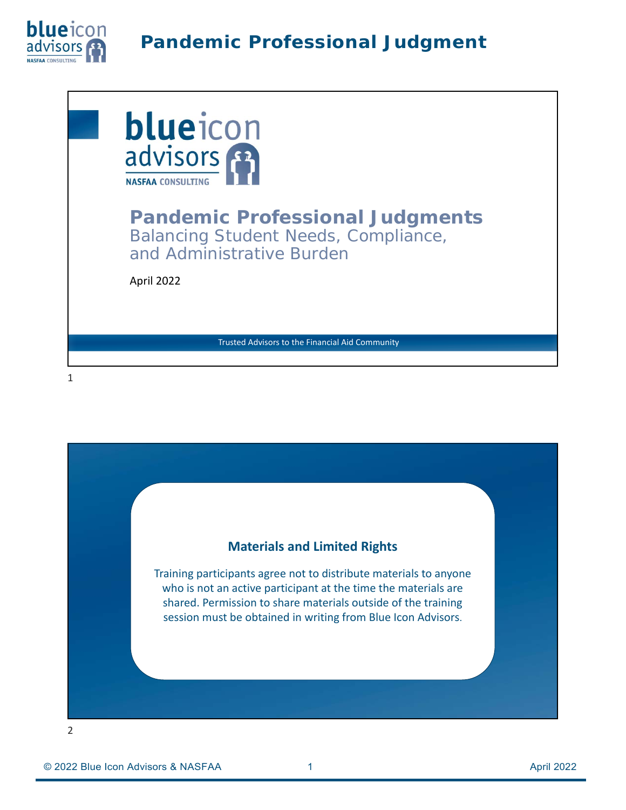



#### **Materials and Limited Rights**

Training participants agree not to distribute materials to anyone who is not an active participant at the time the materials are shared. Permission to share materials outside of the training session must be obtained in writing from Blue Icon Advisors.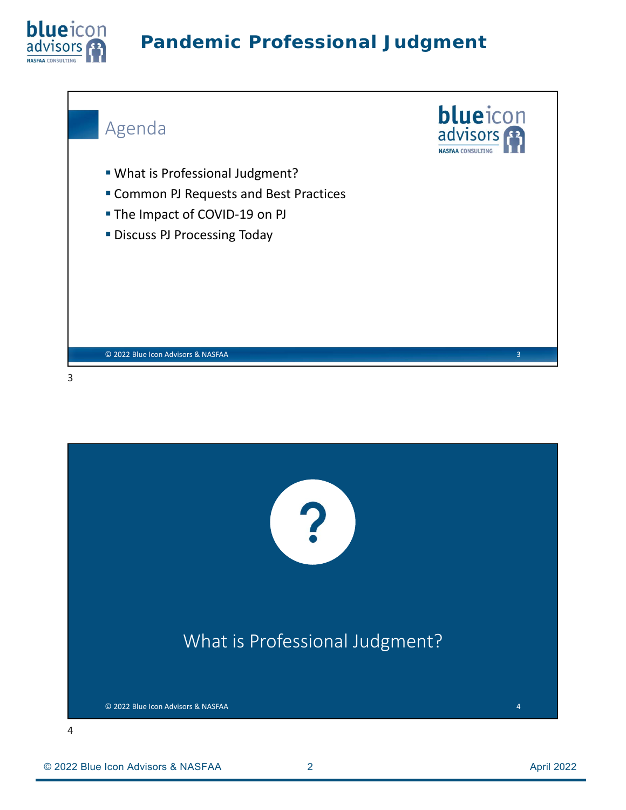![](_page_1_Picture_0.jpeg)

![](_page_1_Picture_2.jpeg)

![](_page_1_Picture_3.jpeg)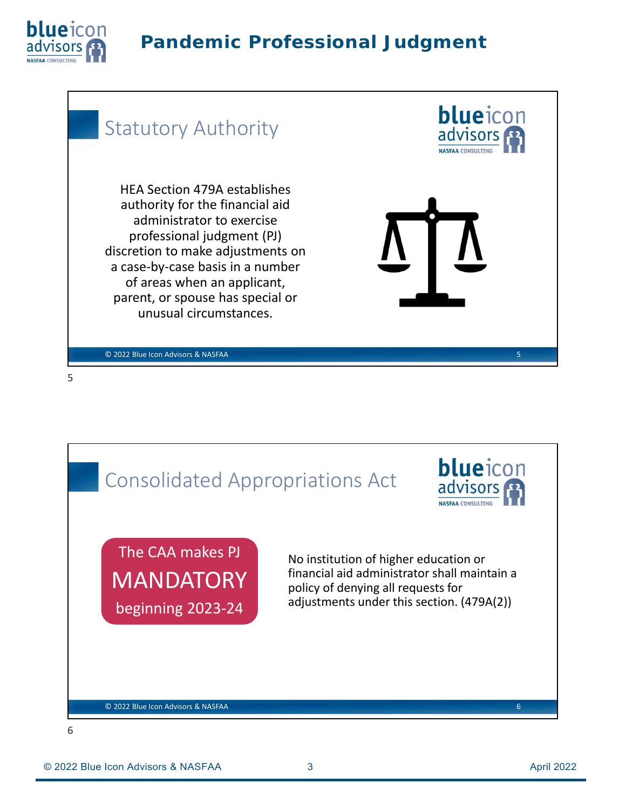![](_page_2_Picture_0.jpeg)

#### blueicon Statutory Authority advisors HEA Section 479A establishes authority for the financial aid administrator to exercise professional judgment (PJ) discretion to make adjustments on a case‐by‐case basis in a number of areas when an applicant, parent, or spouse has special or unusual circumstances. © 2022 Blue Icon Advisors & NASFAA 5

![](_page_2_Picture_4.jpeg)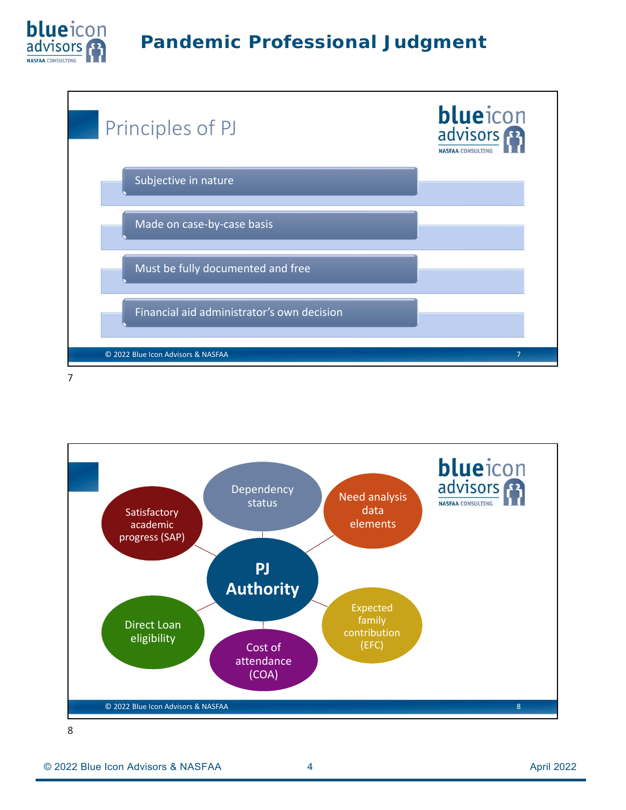![](_page_3_Picture_0.jpeg)

![](_page_3_Figure_2.jpeg)

![](_page_3_Figure_4.jpeg)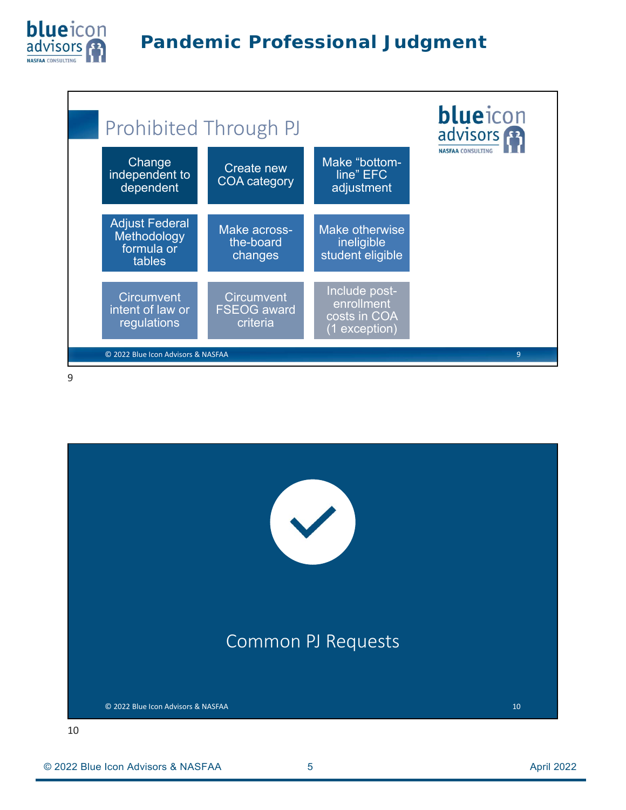![](_page_4_Picture_0.jpeg)

![](_page_4_Figure_2.jpeg)

![](_page_4_Figure_4.jpeg)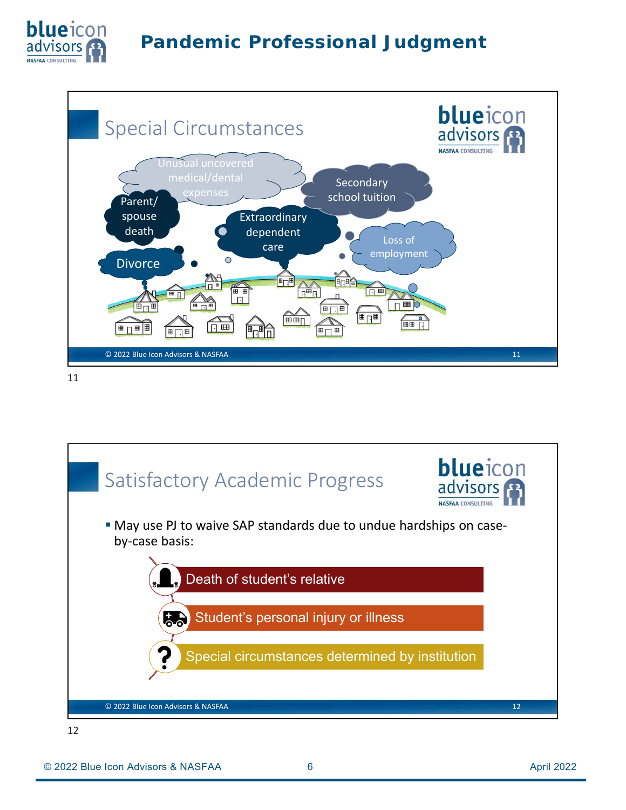![](_page_5_Picture_0.jpeg)

![](_page_5_Figure_2.jpeg)

![](_page_5_Figure_4.jpeg)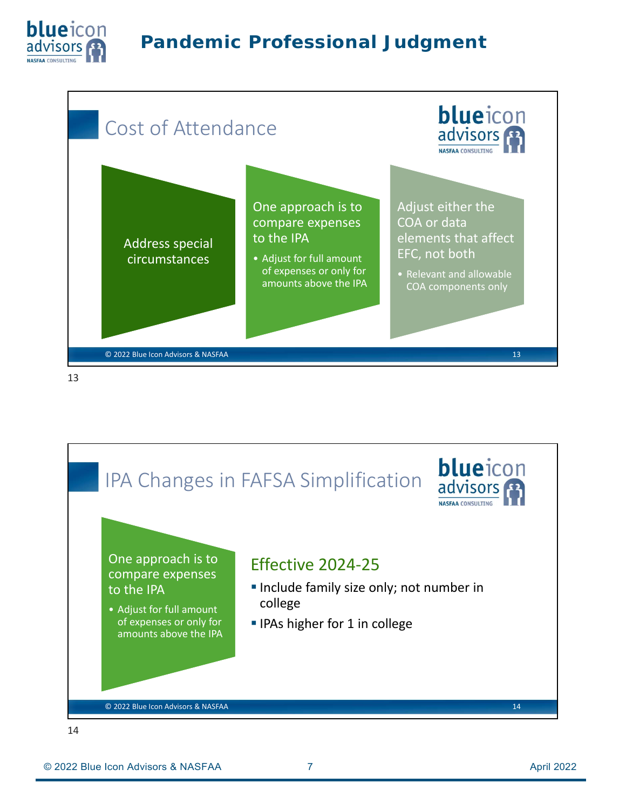![](_page_6_Picture_0.jpeg)

![](_page_6_Figure_2.jpeg)

![](_page_6_Figure_4.jpeg)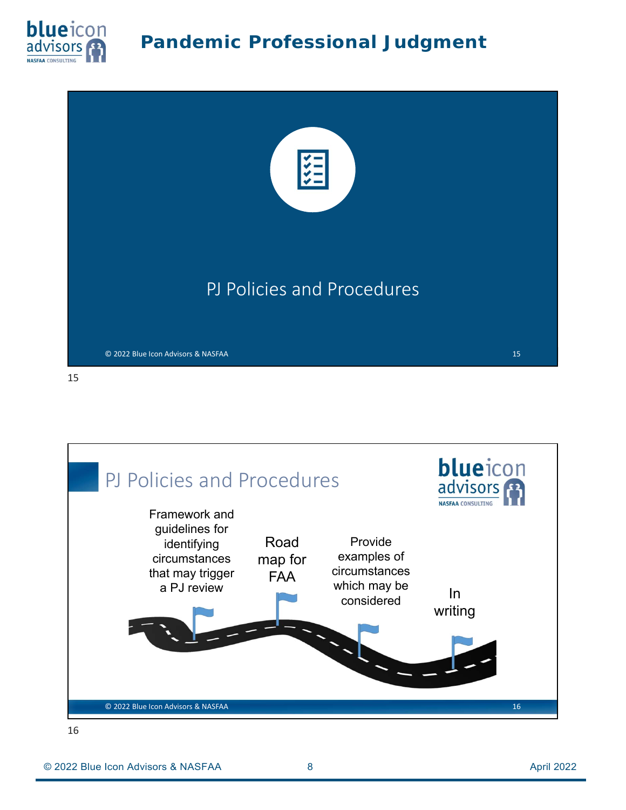![](_page_7_Picture_0.jpeg)

![](_page_7_Picture_2.jpeg)

![](_page_7_Figure_3.jpeg)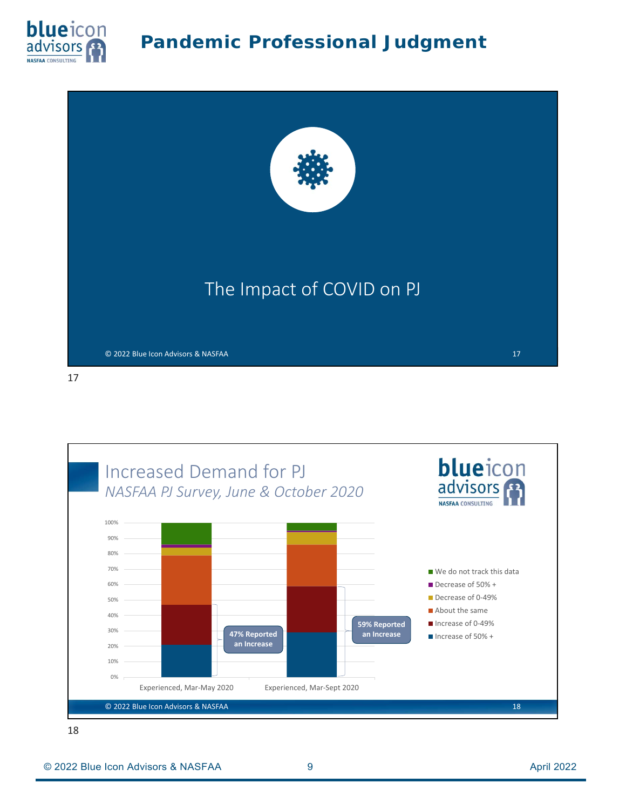![](_page_8_Picture_0.jpeg)

![](_page_8_Picture_2.jpeg)

blueicon Increased Demand for PJ *NASFAA PJ Survey, June & October 2020* **NASFAA CONSULTING** 100% 90% 80% 70% We do not track this data 60% Decrease of 50% + ■ Decrease of 0-49% 50% About the same 40% ■ Increase of 0-49% **59% Reported**  30% **47% Reported Example 2008 + 128 and increase increase of 50% + an Increase an Increase** 20% 10% 0% Experienced, Mar‐May 2020 Experienced, Mar‐Sept 2020 © 2022 Blue Icon Advisors & NASFAA 18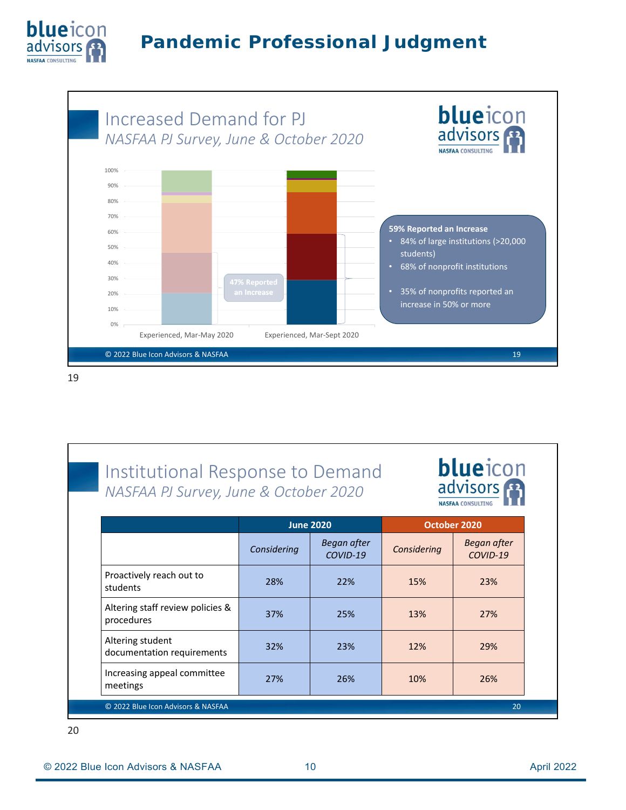![](_page_9_Picture_0.jpeg)

![](_page_9_Figure_2.jpeg)

| Institutional Response to Demand<br>NASFAA PJ Survey, June & October 2020 |                  |                           | <b>blueicon</b><br>advisors<br><b>NASFAA CONSULTING</b> |                           |
|---------------------------------------------------------------------------|------------------|---------------------------|---------------------------------------------------------|---------------------------|
|                                                                           | <b>June 2020</b> |                           | October 2020                                            |                           |
|                                                                           | Considering      | Began after<br>$COVID-19$ | Considering                                             | Began after<br>$COVID-19$ |
| Proactively reach out to<br>students                                      | 28%              | 22%                       | 15%                                                     | 23%                       |
| Altering staff review policies &<br>procedures                            | 37%              | 25%                       | 13%                                                     | 27%                       |
| Altering student<br>documentation requirements                            | 32%              | 23%                       | 12%                                                     | 29%                       |
| Increasing appeal committee<br>meetings                                   | 27%              | 26%                       | 10%                                                     | 26%                       |
| © 2022 Blue Icon Advisors & NASFAA                                        |                  |                           |                                                         | 20                        |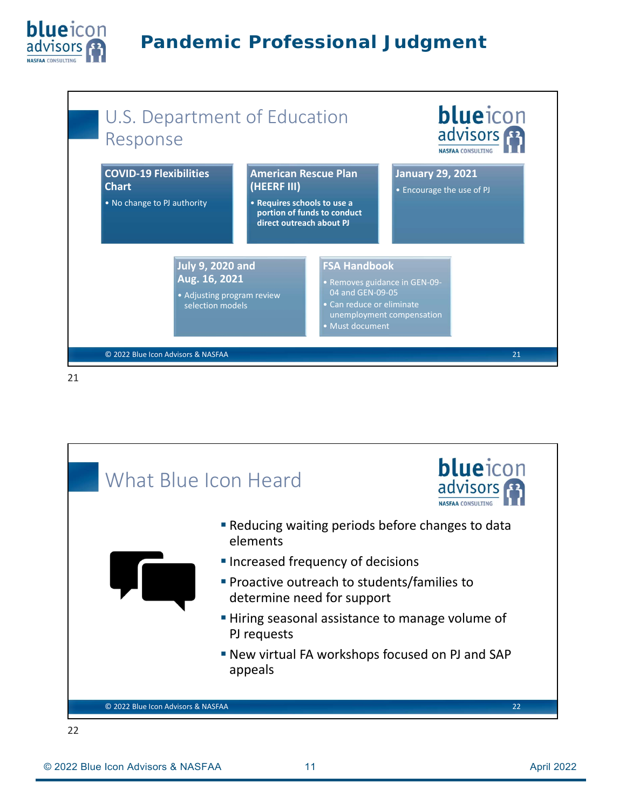![](_page_10_Picture_0.jpeg)

![](_page_10_Figure_2.jpeg)

![](_page_10_Picture_4.jpeg)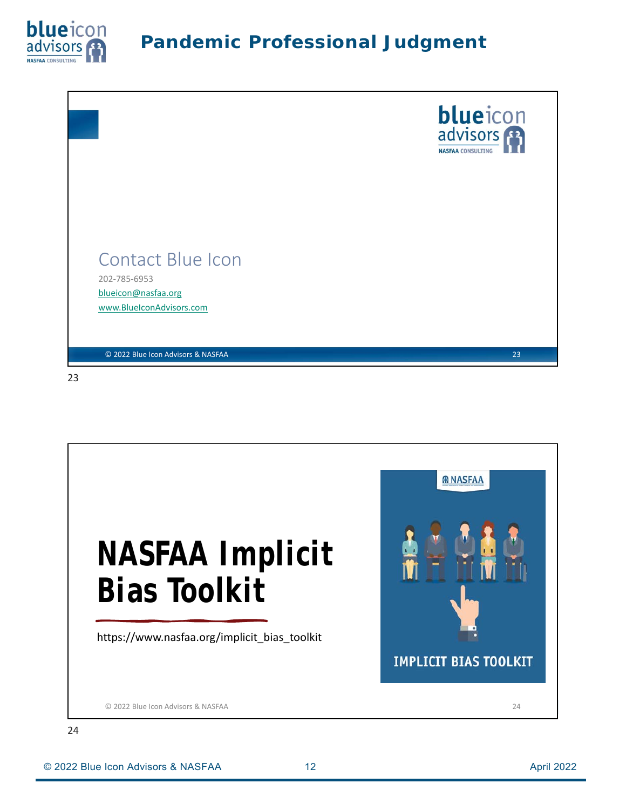![](_page_11_Picture_0.jpeg)

![](_page_11_Picture_2.jpeg)

![](_page_11_Picture_4.jpeg)